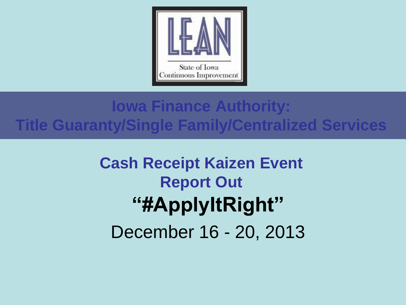

### **Iowa Finance Authority: Title Guaranty/Single Family/Centralized Services**

## **Cash Receipt Kaizen Event Report Out "#ApplyItRight"**  December 16 - 20, 2013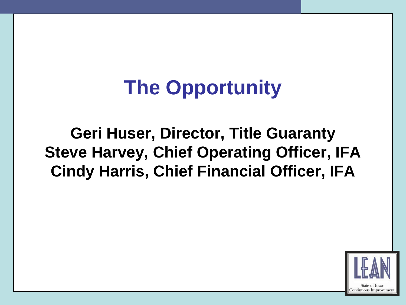# **The Opportunity**

**Geri Huser, Director, Title Guaranty Steve Harvey, Chief Operating Officer, IFA Cindy Harris, Chief Financial Officer, IFA**

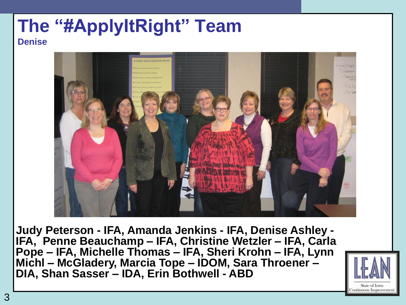#### **The "#ApplyItRight" Team Denise**



 **Judy Peterson - IFA, Amanda Jenkins - IFA, Denise Ashley - IFA, Penne Beauchamp – IFA, Christine Wetzler – IFA, Carla Pope – IFA, Michelle Thomas – IFA, Sheri Krohn – IFA, Lynn Michl – McGladery, Marcia Tope – IDOM, Sara Throener – DIA, Shan Sasser – IDA, Erin Bothwell - ABD**

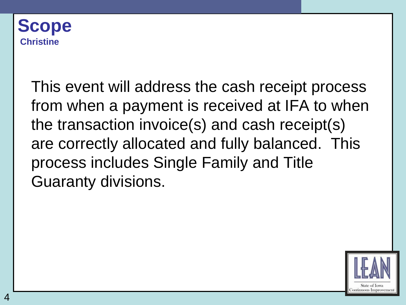

4

This event will address the cash receipt process from when a payment is received at IFA to when the transaction invoice(s) and cash receipt(s) are correctly allocated and fully balanced. This process includes Single Family and Title Guaranty divisions.

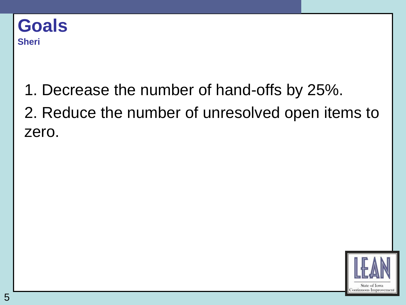1. Decrease the number of hand-offs by 25%. 2. Reduce the number of unresolved open items to zero.

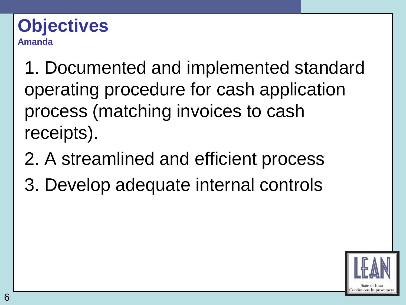#### **Objectives Amanda**

1. Documented and implemented standard operating procedure for cash application process (matching invoices to cash receipts).

- 2. A streamlined and efficient process
- 3. Develop adequate internal controls

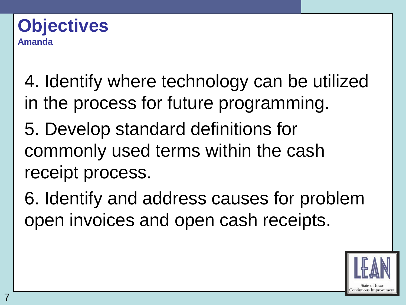#### **Objectives Amanda**

- 4. Identify where technology can be utilized in the process for future programming.
- 5. Develop standard definitions for commonly used terms within the cash receipt process.
- 6. Identify and address causes for problem open invoices and open cash receipts.

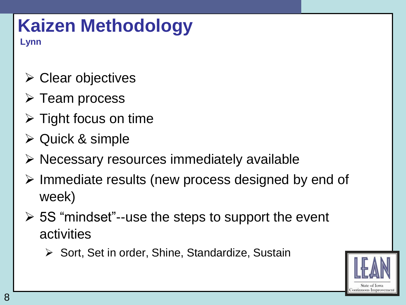# **Kaizen Methodology**

**Lynn**

- $\triangleright$  Clear objectives
- $\triangleright$  Team process
- $\triangleright$  Tight focus on time
- Quick & simple
- $\triangleright$  Necessary resources immediately available
- $\triangleright$  Immediate results (new process designed by end of week)
- $\geq$  5S "mindset"--use the steps to support the event activities
	- $\triangleright$  Sort, Set in order, Shine, Standardize, Sustain

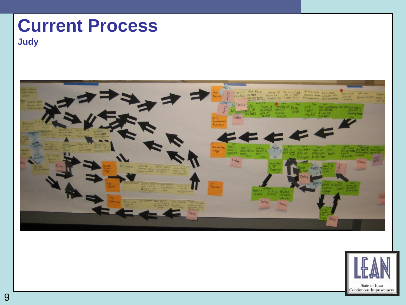# **Current Process**

**Judy**



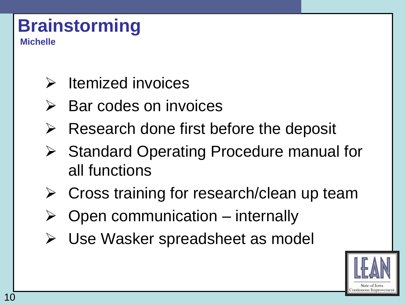# **Brainstorming**

**Michelle**

- $\triangleright$  Itemized invoices
- $\triangleright$  Bar codes on invoices
- $\triangleright$  Research done first before the deposit
- **▶ Standard Operating Procedure manual for** all functions
- Cross training for research/clean up team
- Open communication internally
- Use Wasker spreadsheet as model

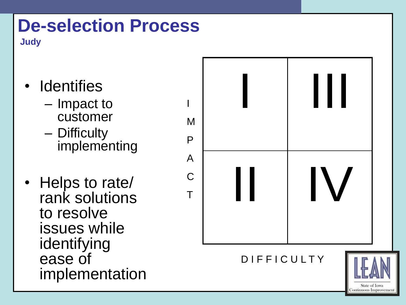## **De-selection Process**

**Judy**

- Identifies
	- Impact to customer
	- Difficulty implementing
- Helps to rate/ rank solutions to resolve issues while identifying ease of implementation

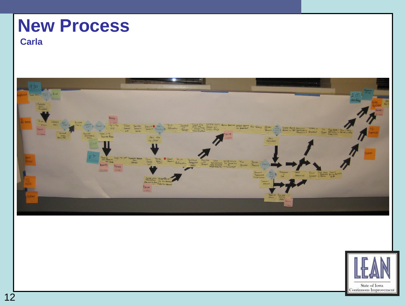## **New Process**

#### **Carla**



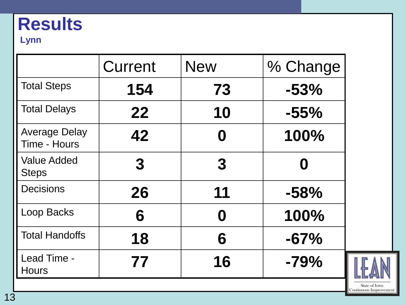## **Results**

#### **Lynn**

|                                      | Current          | <b>New</b>       | % Change |
|--------------------------------------|------------------|------------------|----------|
| <b>Total Steps</b>                   | 154              | 73               | $-53%$   |
| <b>Total Delays</b>                  | 22               | 10               | $-55%$   |
| <b>Average Delay</b><br>Time - Hours | 42               | 0                | 100%     |
| <b>Value Added</b><br><b>Steps</b>   | $\boldsymbol{3}$ | $\boldsymbol{3}$ |          |
| <b>Decisions</b>                     | 26               | 11               | $-58%$   |
| Loop Backs                           | 6                | 0                | 100%     |
| <b>Total Handoffs</b>                | 18               | 6                | $-67%$   |
| Lead Time -<br><b>Hours</b>          | 77               | 16               | $-79%$   |

State of Iowa<br>Continuous Improvement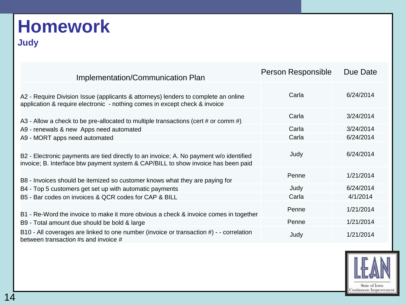## **Homework**

#### **Judy**

| Implementation/Communication Plan                                                                                                                                           | Person Responsible | Due Date  |
|-----------------------------------------------------------------------------------------------------------------------------------------------------------------------------|--------------------|-----------|
| A2 - Require Division Issue (applicants & attorneys) lenders to complete an online<br>application & require electronic - nothing comes in except check & invoice            | Carla              | 6/24/2014 |
| A3 - Allow a check to be pre-allocated to multiple transactions (cert # or comm #)                                                                                          | Carla              | 3/24/2014 |
| A9 - renewals & new Apps need automated                                                                                                                                     | Carla              | 3/24/2014 |
| A9 - MORT apps need automated                                                                                                                                               | Carla              | 6/24/2014 |
| B2 - Electronic payments are tied directly to an invoice; A. No payment w/o identified<br>invoice; B. Interface btw payment system & CAP/BILL to show invoice has been paid | Judy               | 6/24/2014 |
| B8 - Invoices should be itemized so customer knows what they are paying for                                                                                                 | Penne              | 1/21/2014 |
| B4 - Top 5 customers get set up with automatic payments                                                                                                                     | Judy               | 6/24/2014 |
| B5 - Bar codes on invoices & QCR codes for CAP & BILL                                                                                                                       | Carla              | 4/1/2014  |
| B1 - Re-Word the invoice to make it more obvious a check & invoice comes in together                                                                                        | Penne              | 1/21/2014 |
| B9 - Total amount due should be bold & large                                                                                                                                | Penne              | 1/21/2014 |
| B10 - All coverages are linked to one number (invoice or transaction #) - - correlation<br>between transaction #s and invoice #                                             | Judy               | 1/21/2014 |

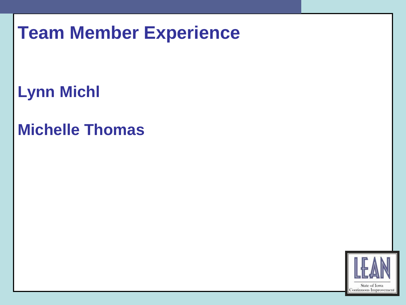## **Team Member Experience**

**Lynn Michl**

### **Michelle Thomas**

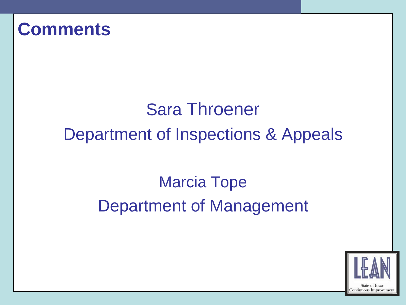### **Comments**

## Sara Throener Department of Inspections & Appeals

## Marcia Tope Department of Management